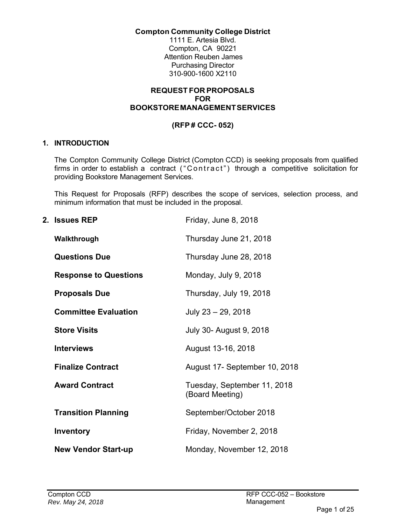## **Compton Community College District**

1111 E. Artesia Blvd. Compton, CA 90221 Attention Reuben James Purchasing Director 310-900-1600 X2110

# **REQUEST FOR PROPOSALS FOR BOOKSTORE MANAGEMENT SERVICES**

# **(RFP # CCC- 052)**

# **1. INTRODUCTION**

The Compton Community College District (Compton CCD) is seeking proposals from qualified firms in order to establish a contract ("Contract") through a competitive solicitation for providing Bookstore Management Services.

This Request for Proposals (RFP) describes the scope of services, selection process, and minimum information that must be included in the proposal.

| 2. Issues REP                | Friday, June 8, 2018                           |
|------------------------------|------------------------------------------------|
| Walkthrough                  | Thursday June 21, 2018                         |
| <b>Questions Due</b>         | Thursday June 28, 2018                         |
| <b>Response to Questions</b> | Monday, July 9, 2018                           |
| <b>Proposals Due</b>         | Thursday, July 19, 2018                        |
| <b>Committee Evaluation</b>  | July 23 - 29, 2018                             |
| <b>Store Visits</b>          | July 30- August 9, 2018                        |
| <b>Interviews</b>            | August 13-16, 2018                             |
| <b>Finalize Contract</b>     | August 17- September 10, 2018                  |
| <b>Award Contract</b>        | Tuesday, September 11, 2018<br>(Board Meeting) |
| <b>Transition Planning</b>   | September/October 2018                         |
| Inventory                    | Friday, November 2, 2018                       |
| <b>New Vendor Start-up</b>   | Monday, November 12, 2018                      |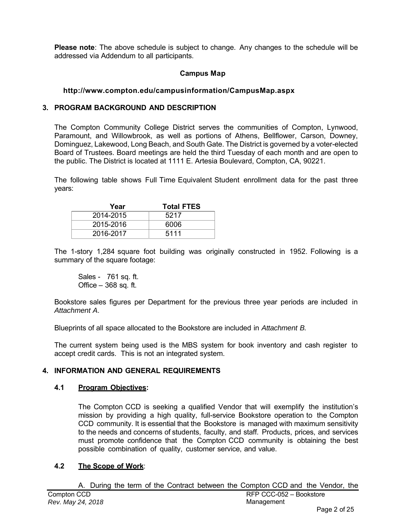**Please note**: The above schedule is subject to change. Any changes to the schedule will be addressed via Addendum to all participants.

## **Campus Map**

## **http://www.compton.edu/campusinformation/CampusMap.aspx**

#### **3. PROGRAM BACKGROUND AND DESCRIPTION**

The Compton Community College District serves the communities of Compton, Lynwood, Paramount, and Willowbrook, as well as portions of Athens, Bellflower, Carson, Downey, Dominguez, Lakewood, Long Beach, and South Gate. The District is governed by a voter-elected Board of Trustees. Board meetings are held the third Tuesday of each month and are open to the public. The District is located at 1111 E. Artesia Boulevard, Compton, CA, 90221.

The following table shows Full Time Equivalent Student enrollment data for the past three years:

| Year      | <b>Total FTES</b> |
|-----------|-------------------|
| 2014-2015 | 5217              |
| 2015-2016 | 6006              |
| 2016-2017 | 5111              |

The 1-story 1,284 square foot building was originally constructed in 1952. Following is a summary of the square footage:

Sales - 761 sq. ft. Office – 368 sq. ft.

Bookstore sales figures per Department for the previous three year periods are included in *Attachment A*.

Blueprints of all space allocated to the Bookstore are included in *Attachment B.* 

The current system being used is the MBS system for book inventory and cash register to accept credit cards. This is not an integrated system.

#### **4. INFORMATION AND GENERAL REQUIREMENTS**

#### **4.1 Program Objectives:**

The Compton CCD is seeking a qualified Vendor that will exemplify the institution's mission by providing a high quality, full-service Bookstore operation to the Compton CCD community. It is essential that the Bookstore is managed with maximum sensitivity to the needs and concerns of students, faculty, and staff. Products, prices, and services must promote confidence that the Compton CCD community is obtaining the best possible combination of quality, customer service, and value.

#### **4.2 The Scope of Work**:

|                   |  |  |  |  | A. During the term of the Contract between the Compton CCD and the Vendor, the |  |  |  |
|-------------------|--|--|--|--|--------------------------------------------------------------------------------|--|--|--|
| Compton CCD       |  |  |  |  | RFP CCC-052 - Bookstore                                                        |  |  |  |
| Rev. May 24, 2018 |  |  |  |  | Management                                                                     |  |  |  |
|                   |  |  |  |  |                                                                                |  |  |  |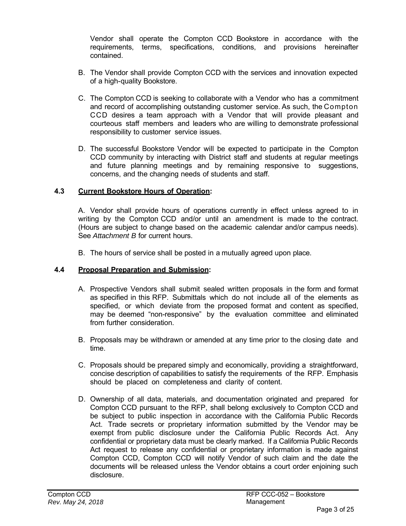Vendor shall operate the Compton CCD Bookstore in accordance with the requirements, terms, specifications, conditions, and provisions hereinafter contained.

- B. The Vendor shall provide Compton CCD with the services and innovation expected of a high-quality Bookstore.
- C. The Compton CCD is seeking to collaborate with a Vendor who has a commitment and record of accomplishing outstanding customer service. As such, the Compton CCD desires a team approach with a Vendor that will provide pleasant and courteous staff members and leaders who are willing to demonstrate professional responsibility to customer service issues.
- D. The successful Bookstore Vendor will be expected to participate in the Compton CCD community by interacting with District staff and students at regular meetings and future planning meetings and by remaining responsive to suggestions, concerns, and the changing needs of students and staff.

## **4.3 Current Bookstore Hours of Operation:**

A. Vendor shall provide hours of operations currently in effect unless agreed to in writing by the Compton CCD and/or until an amendment is made to the contract. (Hours are subject to change based on the academic calendar and/or campus needs). See *Attachment B* for current hours.

B. The hours of service shall be posted in a mutually agreed upon place.

# **4.4 Proposal Preparation and Submission:**

- A. Prospective Vendors shall submit sealed written proposals in the form and format as specified in this RFP. Submittals which do not include all of the elements as specified, or which deviate from the proposed format and content as specified, may be deemed "non-responsive" by the evaluation committee and eliminated from further consideration.
- B. Proposals may be withdrawn or amended at any time prior to the closing date and time.
- C. Proposals should be prepared simply and economically, providing a straightforward, concise description of capabilities to satisfy the requirements of the RFP. Emphasis should be placed on completeness and clarity of content.
- D. Ownership of all data, materials, and documentation originated and prepared for Compton CCD pursuant to the RFP, shall belong exclusively to Compton CCD and be subject to public inspection in accordance with the California Public Records Act. Trade secrets or proprietary information submitted by the Vendor may be exempt from public disclosure under the California Public Records Act. Any confidential or proprietary data must be clearly marked. If a California Public Records Act request to release any confidential or proprietary information is made against Compton CCD, Compton CCD will notify Vendor of such claim and the date the documents will be released unless the Vendor obtains a court order enjoining such disclosure.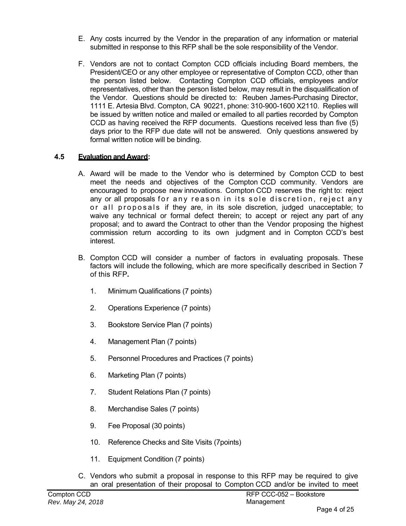- E. Any costs incurred by the Vendor in the preparation of any information or material submitted in response to this RFP shall be the sole responsibility of the Vendor.
- F. Vendors are not to contact Compton CCD officials including Board members, the President/CEO or any other employee or representative of Compton CCD, other than the person listed below. Contacting Compton CCD officials, employees and/or representatives, other than the person listed below, may result in the disqualification of the Vendor. Questions should be directed to: Reuben James-Purchasing Director, 1111 E. Artesia Blvd. Compton, CA 90221, phone: 310-900-1600 X2110. Replies will be issued by written notice and mailed or emailed to all parties recorded by Compton CCD as having received the RFP documents. Questions received less than five (5) days prior to the RFP due date will not be answered. Only questions answered by formal written notice will be binding.

## **4.5 Evaluation and Award:**

- A. Award will be made to the Vendor who is determined by Compton CCD to best meet the needs and objectives of the Compton CCD community. Vendors are encouraged to propose new innovations. Compton CCD reserves the right to: reject any or all proposals for any reason in its sole discretion, reject any or all proposals if they are, in its sole discretion, judged unacceptable; to waive any technical or formal defect therein; to accept or reject any part of any proposal; and to award the Contract to other than the Vendor proposing the highest commission return according to its own judgment and in Compton CCD's best interest.
- B. Compton CCD will consider a number of factors in evaluating proposals. These factors will include the following, which are more specifically described in Section 7 of this RFP*.*
	- 1. Minimum Qualifications (7 points)
	- 2. Operations Experience (7 points)
	- 3. Bookstore Service Plan (7 points)
	- 4. Management Plan (7 points)
	- 5. Personnel Procedures and Practices (7 points)
	- 6. Marketing Plan (7 points)
	- 7. Student Relations Plan (7 points)
	- 8. Merchandise Sales (7 points)
	- 9. Fee Proposal (30 points)
	- 10. Reference Checks and Site Visits (7points)
	- 11. Equipment Condition (7 points)
- C. Vendors who submit a proposal in response to this RFP may be required to give an oral presentation of their proposal to Compton CCD and/or be invited to meet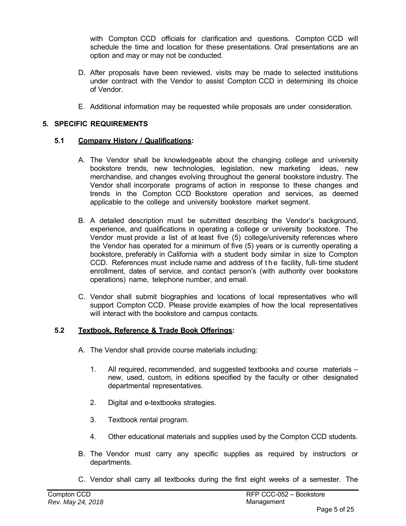with Compton CCD officials for clarification and questions. Compton CCD will schedule the time and location for these presentations. Oral presentations are an option and may or may not be conducted.

- D. After proposals have been reviewed, visits may be made to selected institutions under contract with the Vendor to assist Compton CCD in determining its choice of Vendor.
- E. Additional information may be requested while proposals are under consideration.

# **5. SPECIFIC REQUIREMENTS**

## **5.1 Company History / Qualifications:**

- A. The Vendor shall be knowledgeable about the changing college and university bookstore trends, new technologies, legislation, new marketing ideas, new merchandise, and changes evolving throughout the general bookstore industry. The Vendor shall incorporate programs of action in response to these changes and trends in the Compton CCD Bookstore operation and services, as deemed applicable to the college and university bookstore market segment.
- B. A detailed description must be submitted describing the Vendor's background, experience, and qualifications in operating a college or university bookstore. The Vendor must provide a list of at least five (5) college/university references where the Vendor has operated for a minimum of five (5) years or is currently operating a bookstore, preferably in California with a student body similar in size to Compton CCD. References must include name and address of the facility, full-time student enrollment, dates of service, and contact person's (with authority over bookstore operations) name, telephone number, and email.
- C. Vendor shall submit biographies and locations of local representatives who will support Compton CCD. Please provide examples of how the local representatives will interact with the bookstore and campus contacts.

#### **5.2 Textbook, Reference & Trade Book Offerings:**

- A. The Vendor shall provide course materials including:
	- 1. All required, recommended, and suggested textbooks and course materials new, used, custom, in editions specified by the faculty or other designated departmental representatives.
	- 2. Digital and e-textbooks strategies.
	- 3. Textbook rental program.
	- 4. Other educational materials and supplies used by the Compton CCD students.
- B. The Vendor must carry any specific supplies as required by instructors or departments.
- C. Vendor shall carry all textbooks during the first eight weeks of a semester. The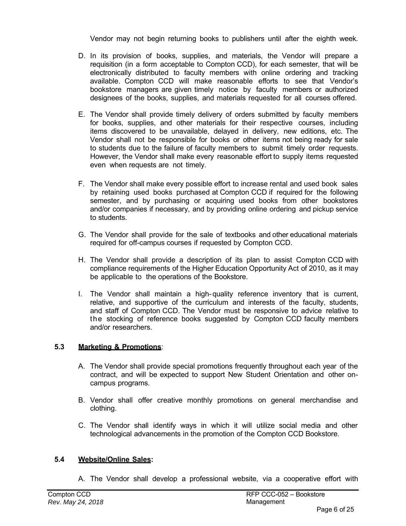Vendor may not begin returning books to publishers until after the eighth week.

- D. In its provision of books, supplies, and materials, the Vendor will prepare a requisition (in a form acceptable to Compton CCD), for each semester, that will be electronically distributed to faculty members with online ordering and tracking available. Compton CCD will make reasonable efforts to see that Vendor's bookstore managers are given timely notice by faculty members or authorized designees of the books, supplies, and materials requested for all courses offered.
- E. The Vendor shall provide timely delivery of orders submitted by faculty members for books, supplies, and other materials for their respective courses, including items discovered to be unavailable, delayed in delivery, new editions, etc. The Vendor shall not be responsible for books or other items not being ready for sale to students due to the failure of faculty members to submit timely order requests. However, the Vendor shall make every reasonable effort to supply items requested even when requests are not timely.
- F. The Vendor shall make every possible effort to increase rental and used book sales by retaining used books purchased at Compton CCD if required for the following semester, and by purchasing or acquiring used books from other bookstores and/or companies if necessary, and by providing online ordering and pickup service to students.
- G. The Vendor shall provide for the sale of textbooks and other educational materials required for off-campus courses if requested by Compton CCD.
- H. The Vendor shall provide a description of its plan to assist Compton CCD with compliance requirements of the Higher Education Opportunity Act of 2010, as it may be applicable to the operations of the Bookstore.
- I. The Vendor shall maintain a high-quality reference inventory that is current, relative, and supportive of the curriculum and interests of the faculty, students, and staff of Compton CCD. The Vendor must be responsive to advice relative to the stocking of reference books suggested by Compton CCD faculty members and/or researchers.

# **5.3 Marketing & Promotions**:

- A. The Vendor shall provide special promotions frequently throughout each year of the contract, and will be expected to support New Student Orientation and other oncampus programs.
- B. Vendor shall offer creative monthly promotions on general merchandise and clothing.
- C. The Vendor shall identify ways in which it will utilize social media and other technological advancements in the promotion of the Compton CCD Bookstore.

# **5.4 Website/Online Sales:**

A. The Vendor shall develop a professional website, via a cooperative effort with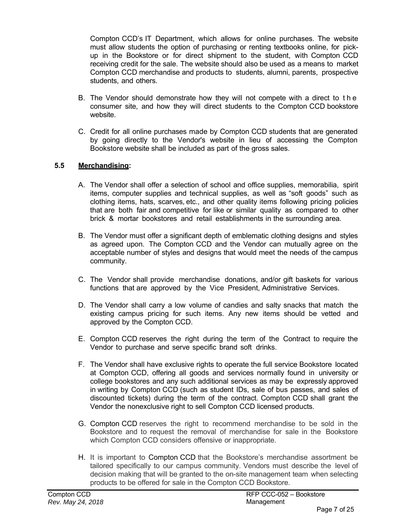Compton CCD's IT Department, which allows for online purchases. The website must allow students the option of purchasing or renting textbooks online, for pickup in the Bookstore or for direct shipment to the student, with Compton CCD receiving credit for the sale. The website should also be used as a means to market Compton CCD merchandise and products to students, alumni, parents, prospective students, and others.

- B. The Vendor should demonstrate how they will not compete with a direct to the consumer site, and how they will direct students to the Compton CCD bookstore website.
- C. Credit for all online purchases made by Compton CCD students that are generated by going directly to the Vendor's website in lieu of accessing the Compton Bookstore website shall be included as part of the gross sales.

# **5.5 Merchandising:**

- A. The Vendor shall offer a selection of school and office supplies, memorabilia, spirit items, computer supplies and technical supplies, as well as "soft goods" such as clothing items, hats, scarves, etc., and other quality items following pricing policies that are both fair and competitive for like or similar quality as compared to other brick & mortar bookstores and retail establishments in the surrounding area.
- B. The Vendor must offer a significant depth of emblematic clothing designs and styles as agreed upon. The Compton CCD and the Vendor can mutually agree on the acceptable number of styles and designs that would meet the needs of the campus community.
- C. The Vendor shall provide merchandise donations, and/or gift baskets for various functions that are approved by the Vice President, Administrative Services.
- D. The Vendor shall carry a low volume of candies and salty snacks that match the existing campus pricing for such items. Any new items should be vetted and approved by the Compton CCD.
- E. Compton CCD reserves the right during the term of the Contract to require the Vendor to purchase and serve specific brand soft drinks.
- F. The Vendor shall have exclusive rights to operate the full service Bookstore located at Compton CCD, offering all goods and services normally found in university or college bookstores and any such additional services as may be expressly approved in writing by Compton CCD (such as student IDs, sale of bus passes, and sales of discounted tickets) during the term of the contract. Compton CCD shall grant the Vendor the nonexclusive right to sell Compton CCD licensed products.
- G. Compton CCD reserves the right to recommend merchandise to be sold in the Bookstore and to request the removal of merchandise for sale in the Bookstore which Compton CCD considers offensive or inappropriate.
- H. It is important to Compton CCD that the Bookstore's merchandise assortment be tailored specifically to our campus community. Vendors must describe the level of decision making that will be granted to the on-site management team when selecting products to be offered for sale in the Compton CCD Bookstore.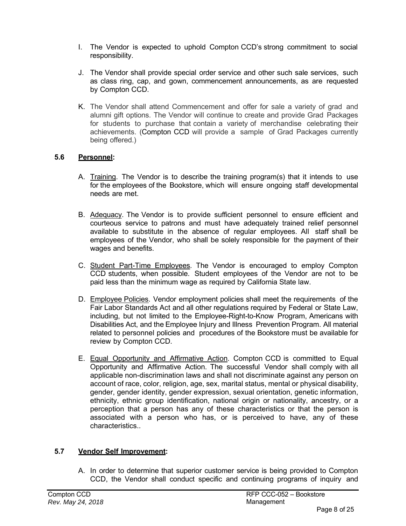- I. The Vendor is expected to uphold Compton CCD's strong commitment to social responsibility.
- J. The Vendor shall provide special order service and other such sale services, such as class ring, cap, and gown, commencement announcements, as are requested by Compton CCD.
- K. The Vendor shall attend Commencement and offer for sale a variety of grad and alumni gift options. The Vendor will continue to create and provide Grad Packages for students to purchase that contain a variety of merchandise celebrating their achievements. (Compton CCD will provide a sample of Grad Packages currently being offered.)

# **5.6 Personnel:**

- A. Training. The Vendor is to describe the training program(s) that it intends to use for the employees of the Bookstore, which will ensure ongoing staff developmental needs are met.
- B. Adequacy. The Vendor is to provide sufficient personnel to ensure efficient and courteous service to patrons and must have adequately trained relief personnel available to substitute in the absence of regular employees. All staff shall be employees of the Vendor, who shall be solely responsible for the payment of their wages and benefits.
- C. Student Part-Time Employees. The Vendor is encouraged to employ Compton CCD students, when possible. Student employees of the Vendor are not to be paid less than the minimum wage as required by California State law.
- D. Employee Policies. Vendor employment policies shall meet the requirements of the Fair Labor Standards Act and all other regulations required by Federal or State Law, including, but not limited to the Employee-Right-to-Know Program, Americans with Disabilities Act, and the Employee Injury and Illness Prevention Program. All material related to personnel policies and procedures of the Bookstore must be available for review by Compton CCD.
- E. Equal Opportunity and Affirmative Action. Compton CCD is committed to Equal Opportunity and Affirmative Action. The successful Vendor shall comply with all applicable non-discrimination laws and shall not discriminate against any person on account of race, color, religion, age, sex, marital status, mental or physical disability, gender, gender identity, gender expression, sexual orientation, genetic information, ethnicity, ethnic group identification, national origin or nationality, ancestry, or a perception that a person has any of these characteristics or that the person is associated with a person who has, or is perceived to have, any of these characteristics..

# **5.7 Vendor Self Improvement:**

A. In order to determine that superior customer service is being provided to Compton CCD, the Vendor shall conduct specific and continuing programs of inquiry and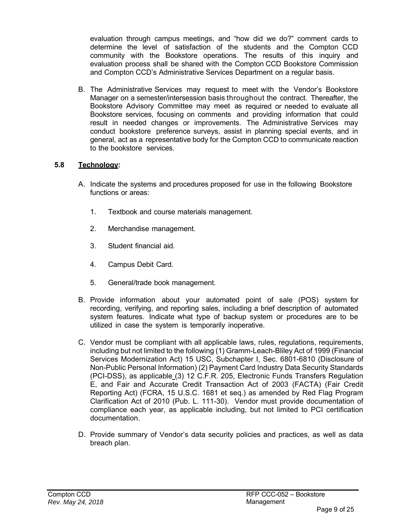evaluation through campus meetings, and "how did we do?" comment cards to determine the level of satisfaction of the students and the Compton CCD community with the Bookstore operations. The results of this inquiry and evaluation process shall be shared with the Compton CCD Bookstore Commission and Compton CCD's Administrative Services Department on a regular basis.

B. The Administrative Services may request to meet with the Vendor's Bookstore Manager on a semester/intersession basis throughout the contract. Thereafter, the Bookstore Advisory Committee may meet as required or needed to evaluate all Bookstore services, focusing on comments and providing information that could result in needed changes or improvements. The Administrative Services may conduct bookstore preference surveys, assist in planning special events, and in general, act as a representative body for the Compton CCD to communicate reaction to the bookstore services.

# **5.8 Technology:**

- A. Indicate the systems and procedures proposed for use in the following Bookstore functions or areas:
	- 1. Textbook and course materials management.
	- 2. Merchandise management.
	- 3. Student financial aid.
	- 4. Campus Debit Card.
	- 5. General/trade book management.
- B. Provide information about your automated point of sale (POS) system for recording, verifying, and reporting sales, including a brief description of automated system features. Indicate what type of backup system or procedures are to be utilized in case the system is temporarily inoperative.
- C. Vendor must be compliant with all applicable laws, rules, regulations, requirements, including but not limited to the following (1) Gramm-Leach-Bliley Act of 1999 (Financial Services Modernization Act) 15 USC, Subchapter I, Sec. 6801-6810 (Disclosure of Non-Public Personal Information) (2) Payment Card Industry Data Security Standards (PCI-DSS), as applicable (3) 12 C.F.R. 205, Electronic Funds Transfers Regulation E, and Fair and Accurate Credit Transaction Act of 2003 (FACTA) (Fair Credit Reporting Act) (FCRA, 15 U.S.C. 1681 et seq.) as amended by Red Flag Program Clarification Act of 2010 (Pub. L. 111-30). Vendor must provide documentation of compliance each year, as applicable including, but not limited to PCI certification documentation.
- D. Provide summary of Vendor's data security policies and practices, as well as data breach plan.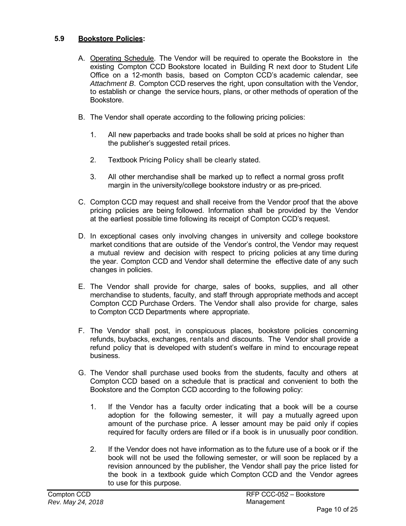# **5.9 Bookstore Policies:**

- A. Operating Schedule. The Vendor will be required to operate the Bookstore in the existing Compton CCD Bookstore located in Building R next door to Student Life Office on a 12-month basis, based on Compton CCD's academic calendar, see *Attachment B*. Compton CCD reserves the right, upon consultation with the Vendor, to establish or change the service hours, plans, or other methods of operation of the Bookstore.
- B. The Vendor shall operate according to the following pricing policies:
	- 1. All new paperbacks and trade books shall be sold at prices no higher than the publisher's suggested retail prices.
	- 2. Textbook Pricing Policy shall be clearly stated.
	- 3. All other merchandise shall be marked up to reflect a normal gross profit margin in the university/college bookstore industry or as pre-priced.
- C. Compton CCD may request and shall receive from the Vendor proof that the above pricing policies are being followed. Information shall be provided by the Vendor at the earliest possible time following its receipt of Compton CCD's request.
- D. In exceptional cases only involving changes in university and college bookstore market conditions that are outside of the Vendor's control, the Vendor may request a mutual review and decision with respect to pricing policies at any time during the year. Compton CCD and Vendor shall determine the effective date of any such changes in policies.
- E. The Vendor shall provide for charge, sales of books, supplies, and all other merchandise to students, faculty, and staff through appropriate methods and accept Compton CCD Purchase Orders. The Vendor shall also provide for charge, sales to Compton CCD Departments where appropriate.
- F. The Vendor shall post, in conspicuous places, bookstore policies concerning refunds, buybacks, exchanges, rentals and discounts. The Vendor shall provide a refund policy that is developed with student's welfare in mind to encourage repeat business.
- G. The Vendor shall purchase used books from the students, faculty and others at Compton CCD based on a schedule that is practical and convenient to both the Bookstore and the Compton CCD according to the following policy:
	- 1. If the Vendor has a faculty order indicating that a book will be a course adoption for the following semester, it will pay a mutually agreed upon amount of the purchase price. A lesser amount may be paid only if copies required for faculty orders are filled or if a book is in unusually poor condition.
	- 2. If the Vendor does not have information as to the future use of a book or if the book will not be used the following semester, or will soon be replaced by a revision announced by the publisher, the Vendor shall pay the price listed for the book in a textbook guide which Compton CCD and the Vendor agrees to use for this purpose.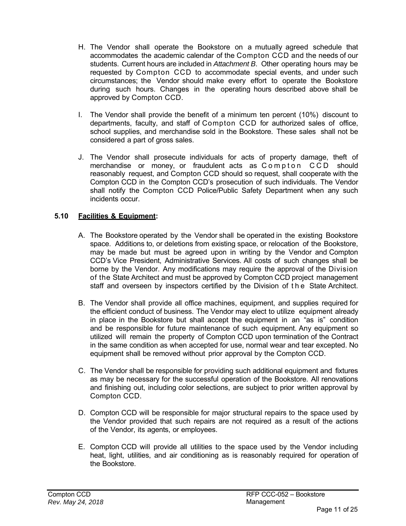- H. The Vendor shall operate the Bookstore on a mutually agreed schedule that accommodates the academic calendar of the Compton CCD and the needs of our students. Current hours are included in *Attachment B*. Other operating hours may be requested by Compton CCD to accommodate special events, and under such circumstances; the Vendor should make every effort to operate the Bookstore during such hours. Changes in the operating hours described above shall be approved by Compton CCD.
- I. The Vendor shall provide the benefit of a minimum ten percent (10%) discount to departments, faculty, and staff of Compton CCD for authorized sales of office, school supplies, and merchandise sold in the Bookstore. These sales shall not be considered a part of gross sales.
- J. The Vendor shall prosecute individuals for acts of property damage, theft of merchandise or money, or fraudulent acts as Compton CCD should reasonably request, and Compton CCD should so request, shall cooperate with the Compton CCD in the Compton CCD's prosecution of such individuals. The Vendor shall notify the Compton CCD Police/Public Safety Department when any such incidents occur.

# **5.10 Facilities & Equipment:**

- A. The Bookstore operated by the Vendor shall be operated in the existing Bookstore space. Additions to, or deletions from existing space, or relocation of the Bookstore, may be made but must be agreed upon in writing by the Vendor and Compton CCD's Vice President, Administrative Services. All costs of such changes shall be borne by the Vendor. Any modifications may require the approval of the Division of the State Architect and must be approved by Compton CCD project management staff and overseen by inspectors certified by the Division of the State Architect.
- B. The Vendor shall provide all office machines, equipment, and supplies required for the efficient conduct of business. The Vendor may elect to utilize equipment already in place in the Bookstore but shall accept the equipment in an "as is" condition and be responsible for future maintenance of such equipment. Any equipment so utilized will remain the property of Compton CCD upon termination of the Contract in the same condition as when accepted for use, normal wear and tear excepted. No equipment shall be removed without prior approval by the Compton CCD.
- C. The Vendor shall be responsible for providing such additional equipment and fixtures as may be necessary for the successful operation of the Bookstore. All renovations and finishing out, including color selections, are subject to prior written approval by Compton CCD.
- D. Compton CCD will be responsible for major structural repairs to the space used by the Vendor provided that such repairs are not required as a result of the actions of the Vendor, its agents, or employees.
- E. Compton CCD will provide all utilities to the space used by the Vendor including heat, light, utilities, and air conditioning as is reasonably required for operation of the Bookstore.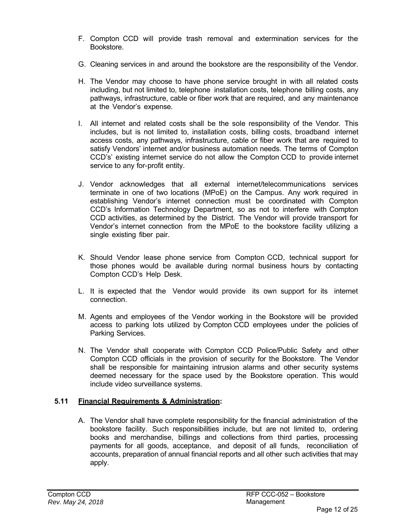- F. Compton CCD will provide trash removal and extermination services for the Bookstore.
- G. Cleaning services in and around the bookstore are the responsibility of the Vendor.
- H. The Vendor may choose to have phone service brought in with all related costs including, but not limited to, telephone installation costs, telephone billing costs, any pathways, infrastructure, cable or fiber work that are required, and any maintenance at the Vendor's expense.
- I. All internet and related costs shall be the sole responsibility of the Vendor. This includes, but is not limited to, installation costs, billing costs, broadband internet access costs, any pathways, infrastructure, cable or fiber work that are required to satisfy Vendors' internet and/or business automation needs. The terms of Compton CCD's' existing internet service do not allow the Compton CCD to provide internet service to any for-profit entity.
- J. Vendor acknowledges that all external internet/telecommunications services terminate in one of two locations (MPoE) on the Campus. Any work required in establishing Vendor's internet connection must be coordinated with Compton CCD's Information Technology Department, so as not to interfere with Compton CCD activities, as determined by the District. The Vendor will provide transport for Vendor's internet connection from the MPoE to the bookstore facility utilizing a single existing fiber pair.
- K. Should Vendor lease phone service from Compton CCD, technical support for those phones would be available during normal business hours by contacting Compton CCD's Help Desk.
- L. It is expected that the Vendor would provide its own support for its internet connection.
- M. Agents and employees of the Vendor working in the Bookstore will be provided access to parking lots utilized by Compton CCD employees under the policies of Parking Services.
- N. The Vendor shall cooperate with Compton CCD Police/Public Safety and other Compton CCD officials in the provision of security for the Bookstore. The Vendor shall be responsible for maintaining intrusion alarms and other security systems deemed necessary for the space used by the Bookstore operation. This would include video surveillance systems.

#### **5.11 Financial Requirements & Administration:**

A. The Vendor shall have complete responsibility for the financial administration of the bookstore facility. Such responsibilities include, but are not limited to, ordering books and merchandise, billings and collections from third parties, processing payments for all goods, acceptance, and deposit of all funds, reconciliation of accounts, preparation of annual financial reports and all other such activities that may apply.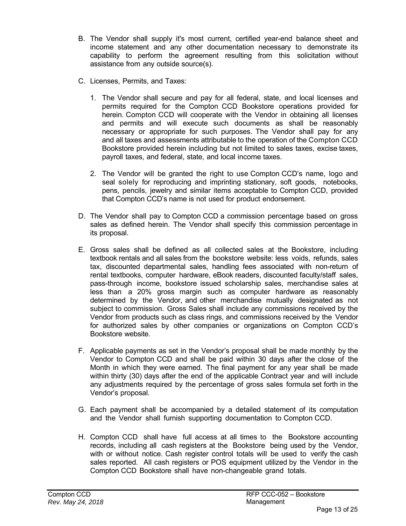- B. The Vendor shall supply it's most current, certified year-end balance sheet and income statement and any other documentation necessary to demonstrate its capability to perform the agreement resulting from this solicitation without assistance from any outside source(s).
- C. Licenses, Permits, and Taxes:
	- 1. The Vendor shall secure and pay for all federal, state, and local licenses and permits required for the Compton CCD Bookstore operations provided for herein. Compton CCD will cooperate with the Vendor in obtaining all licenses and permits and will execute such documents as shall be reasonably necessary or appropriate for such purposes. The Vendor shall pay for any and all taxes and assessments attributable to the operation of the Compton CCD Bookstore provided herein including but not limited to sales taxes, excise taxes, payroll taxes, and federal, state, and local income taxes.
	- 2. The Vendor will be granted the right to use Compton CCD's name, logo and seal solely for reproducing and imprinting stationary, soft goods, notebooks, pens, pencils, jewelry and similar items acceptable to Compton CCD, provided that Compton CCD's name is not used for product endorsement.
- D. The Vendor shall pay to Compton CCD a commission percentage based on gross sales as defined herein. The Vendor shall specify this commission percentage in its proposal.
- E. Gross sales shall be defined as all collected sales at the Bookstore, including textbook rentals and all sales from the bookstore website: less voids, refunds, sales tax, discounted departmental sales, handling fees associated with non-return of rental textbooks, computer hardware, eBook readers, discounted faculty/staff sales, pass-through income, bookstore issued scholarship sales, merchandise sales at less than a 20% gross margin such as computer hardware as reasonably determined by the Vendor, and other merchandise mutually designated as not subject to commission. Gross Sales shall include any commissions received by the Vendor from products such as class rings, and commissions received by the Vendor for authorized sales by other companies or organizations on Compton CCD's Bookstore website.
- F. Applicable payments as set in the Vendor's proposal shall be made monthly by the Vendor to Compton CCD and shall be paid within 30 days after the close of the Month in which they were earned. The final payment for any year shall be made within thirty (30) days after the end of the applicable Contract year and will include any adjustments required by the percentage of gross sales formula set forth in the Vendor's proposal.
- G. Each payment shall be accompanied by a detailed statement of its computation and the Vendor shall furnish supporting documentation to Compton CCD.
- H. Compton CCD shall have full access at all times to the Bookstore accounting records, including all cash registers at the Bookstore being used by the Vendor, with or without notice. Cash register control totals will be used to verify the cash sales reported. All cash registers or POS equipment utilized by the Vendor in the Compton CCD Bookstore shall have non-changeable grand totals.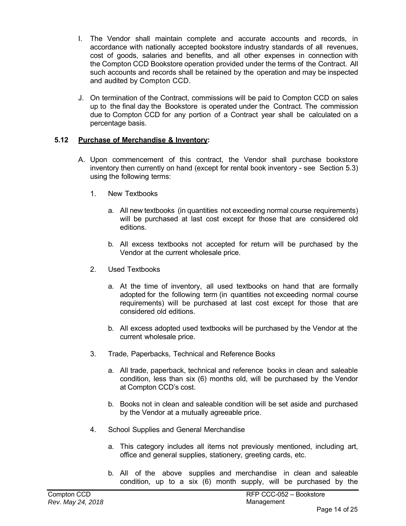- I. The Vendor shall maintain complete and accurate accounts and records, in accordance with nationally accepted bookstore industry standards of all revenues, cost of goods, salaries and benefits, and all other expenses in connection with the Compton CCD Bookstore operation provided under the terms of the Contract. All such accounts and records shall be retained by the operation and may be inspected and audited by Compton CCD.
- J. On termination of the Contract, commissions will be paid to Compton CCD on sales up to the final day the Bookstore is operated under the Contract. The commission due to Compton CCD for any portion of a Contract year shall be calculated on a percentage basis.

## **5.12 Purchase of Merchandise & Inventory:**

- A. Upon commencement of this contract, the Vendor shall purchase bookstore inventory then currently on hand (except for rental book inventory - see Section 5.3) using the following terms:
	- 1. New Textbooks
		- a. All new textbooks (in quantities not exceeding normal course requirements) will be purchased at last cost except for those that are considered old editions.
		- b. All excess textbooks not accepted for return will be purchased by the Vendor at the current wholesale price.
	- 2. Used Textbooks
		- a. At the time of inventory, all used textbooks on hand that are formally adopted for the following term (in quantities not exceeding normal course requirements) will be purchased at last cost except for those that are considered old editions.
		- b. All excess adopted used textbooks will be purchased by the Vendor at the current wholesale price.
	- 3. Trade, Paperbacks, Technical and Reference Books
		- a. All trade, paperback, technical and reference books in clean and saleable condition, less than six (6) months old, will be purchased by the Vendor at Compton CCD's cost.
		- b. Books not in clean and saleable condition will be set aside and purchased by the Vendor at a mutually agreeable price.
	- 4. School Supplies and General Merchandise
		- a. This category includes all items not previously mentioned, including art, office and general supplies, stationery, greeting cards, etc.
		- b. All of the above supplies and merchandise in clean and saleable condition, up to a six (6) month supply, will be purchased by the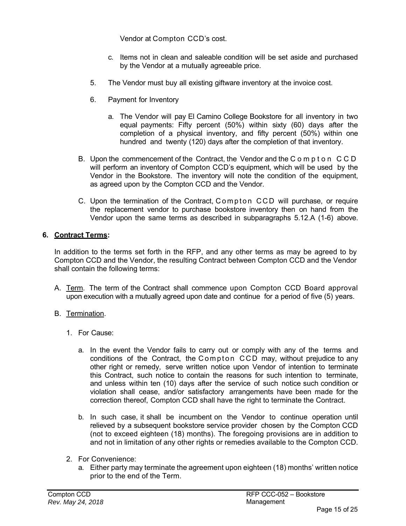Vendor at Compton CCD's cost.

- c. Items not in clean and saleable condition will be set aside and purchased by the Vendor at a mutually agreeable price.
- 5. The Vendor must buy all existing giftware inventory at the invoice cost.
- 6. Payment for Inventory
	- a. The Vendor will pay El Camino College Bookstore for all inventory in two equal payments: Fifty percent (50%) within sixty (60) days after the completion of a physical inventory, and fifty percent (50%) within one hundred and twenty (120) days after the completion of that inventory.
- B. Upon the commencement of the Contract, the Vendor and the C o m p t on CCD will perform an inventory of Compton CCD's equipment, which will be used by the Vendor in the Bookstore. The inventory will note the condition of the equipment, as agreed upon by the Compton CCD and the Vendor.
- C. Upon the termination of the Contract, Compton CCD will purchase, or require the replacement vendor to purchase bookstore inventory then on hand from the Vendor upon the same terms as described in subparagraphs 5.12.A (1-6) above.

# **6. Contract Terms:**

In addition to the terms set forth in the RFP, and any other terms as may be agreed to by Compton CCD and the Vendor, the resulting Contract between Compton CCD and the Vendor shall contain the following terms:

- A. Term. The term of the Contract shall commence upon Compton CCD Board approval upon execution with a mutually agreed upon date and continue for a period of five (5) years.
- B. Termination.
	- 1. For Cause:
		- a. In the event the Vendor fails to carry out or comply with any of the terms and conditions of the Contract, the Compton CCD may, without prejudice to any other right or remedy, serve written notice upon Vendor of intention to terminate this Contract, such notice to contain the reasons for such intention to terminate, and unless within ten (10) days after the service of such notice such condition or violation shall cease, and/or satisfactory arrangements have been made for the correction thereof, Compton CCD shall have the right to terminate the Contract.
		- b. In such case, it shall be incumbent on the Vendor to continue operation until relieved by a subsequent bookstore service provider chosen by the Compton CCD (not to exceed eighteen (18) months). The foregoing provisions are in addition to and not in limitation of any other rights or remedies available to the Compton CCD.
	- 2. For Convenience:
		- a. Either party may terminate the agreement upon eighteen (18) months' written notice prior to the end of the Term.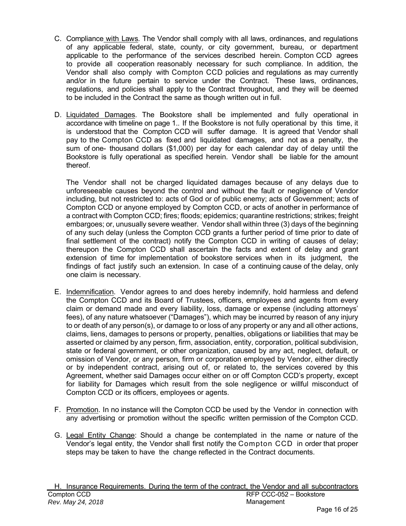- C. Compliance with Laws. The Vendor shall comply with all laws, ordinances, and regulations of any applicable federal, state, county, or city government, bureau, or department applicable to the performance of the services described herein. Compton CCD agrees to provide all cooperation reasonably necessary for such compliance. In addition, the Vendor shall also comply with Compton CCD policies and regulations as may currently and/or in the future pertain to service under the Contract. These laws, ordinances, regulations, and policies shall apply to the Contract throughout, and they will be deemed to be included in the Contract the same as though written out in full.
- D. Liquidated Damages. The Bookstore shall be implemented and fully operational in accordance with timeline on page 1.. If the Bookstore is not fully operational by this time, it is understood that the Compton CCD will suffer damage. It is agreed that Vendor shall pay to the Compton CCD as fixed and liquidated damages, and not as a penalty, the sum of one- thousand dollars (\$1,000) per day for each calendar day of delay until the Bookstore is fully operational as specified herein. Vendor shall be liable for the amount thereof.

The Vendor shall not be charged liquidated damages because of any delays due to unforeseeable causes beyond the control and without the fault or negligence of Vendor including, but not restricted to: acts of God or of public enemy; acts of Government; acts of Compton CCD or anyone employed by Compton CCD, or acts of another in performance of a contract with Compton CCD; fires; floods; epidemics; quarantine restrictions; strikes; freight embargoes; or, unusually severe weather. Vendor shall within three (3) days of the beginning of any such delay (unless the Compton CCD grants a further period of time prior to date of final settlement of the contract) notify the Compton CCD in writing of causes of delay; thereupon the Compton CCD shall ascertain the facts and extent of delay and grant extension of time for implementation of bookstore services when in its judgment, the findings of fact justify such an extension. In case of a continuing cause of the delay, only one claim is necessary.

- E. Indemnification. Vendor agrees to and does hereby indemnify, hold harmless and defend the Compton CCD and its Board of Trustees, officers, employees and agents from every claim or demand made and every liability, loss, damage or expense (including attorneys' fees), of any nature whatsoever ("Damages"), which may be incurred by reason of any injury to or death of any person(s), or damage to or loss of any property or any and all other actions, claims, liens, damages to persons or property, penalties, obligations or liabilities that may be asserted or claimed by any person, firm, association, entity, corporation, political subdivision, state or federal government, or other organization, caused by any act, neglect, default, or omission of Vendor, or any person, firm or corporation employed by Vendor, either directly or by independent contract, arising out of, or related to, the services covered by this Agreement, whether said Damages occur either on or off Compton CCD's property, except for liability for Damages which result from the sole negligence or willful misconduct of Compton CCD or its officers, employees or agents.
- F. Promotion. In no instance will the Compton CCD be used by the Vendor in connection with any advertising or promotion without the specific written permission of the Compton CCD.
- G. Legal Entity Change: Should a change be contemplated in the name or nature of the Vendor's legal entity, the Vendor shall first notify the Compton CCD in order that proper steps may be taken to have the change reflected in the Contract documents.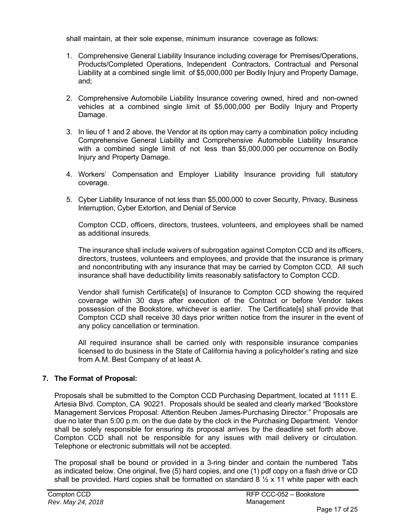shall maintain, at their sole expense, minimum insurance coverage as follows:

- 1. Comprehensive General Liability Insurance including coverage for Premises/Operations, Products/Completed Operations, Independent Contractors, Contractual and Personal Liability at a combined single limit of \$5,000,000 per Bodily Injury and Property Damage, and;
- 2. Comprehensive Automobile Liability Insurance covering owned, hired and non-owned vehicles at a combined single limit of \$5,000,000 per Bodily Injury and Property Damage.
- 3. In lieu of 1 and 2 above, the Vendor at its option may carry a combination policy including Comprehensive General Liability and Comprehensive Automobile Liability Insurance with a combined single limit of not less than \$5,000,000 per occurrence on Bodily Injury and Property Damage.
- 4. Workers' Compensation and Employer Liability Insurance providing full statutory coverage.
- 5. Cyber Liability Insurance of not less than \$5,000,000 to cover Security, Privacy, Business Interruption, Cyber Extortion, and Denial of Service

Compton CCD, officers, directors, trustees, volunteers, and employees shall be named as additional insureds.

The insurance shall include waivers of subrogation against Compton CCD and its officers, directors, trustees, volunteers and employees, and provide that the insurance is primary and noncontributing with any insurance that may be carried by Compton CCD. All such insurance shall have deductibility limits reasonably satisfactory to Compton CCD.

Vendor shall furnish Certificate[s] of Insurance to Compton CCD showing the required coverage within 30 days after execution of the Contract or before Vendor takes possession of the Bookstore, whichever is earlier. The Certificate[s] shall provide that Compton CCD shall receive 30 days prior written notice from the insurer in the event of any policy cancellation or termination.

All required insurance shall be carried only with responsible insurance companies licensed to do business in the State of California having a policyholder's rating and size from A.M. Best Company of at least A.

# **7. The Format of Proposal:**

Proposals shall be submitted to the Compton CCD Purchasing Department, located at 1111 E. Artesia Blvd. Compton, CA 90221. Proposals should be sealed and clearly marked "Bookstore Management Services Proposal: Attention Reuben James-Purchasing Director." Proposals are due no later than 5:00 p.m. on the due date by the clock in the Purchasing Department. Vendor shall be solely responsible for ensuring its proposal arrives by the deadline set forth above. Compton CCD shall not be responsible for any issues with mail delivery or circulation. Telephone or electronic submittals will not be accepted.

The proposal shall be bound or provided in a 3-ring binder and contain the numbered Tabs as indicated below. One original, five (5) hard copies, and one (1) pdf copy on a flash drive or CD shall be provided. Hard copies shall be formatted on standard 8  $\frac{1}{2}$  x 11 white paper with each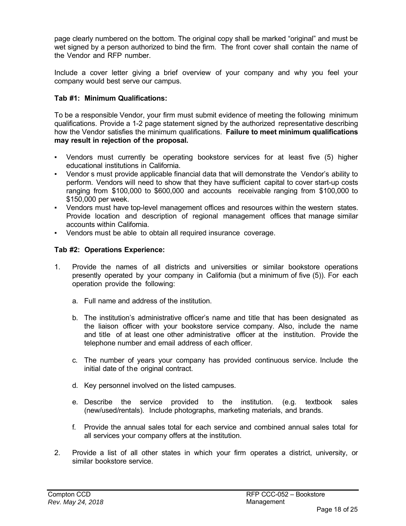page clearly numbered on the bottom. The original copy shall be marked "original" and must be wet signed by a person authorized to bind the firm. The front cover shall contain the name of the Vendor and RFP number.

Include a cover letter giving a brief overview of your company and why you feel your company would best serve our campus.

# **Tab #1: Minimum Qualifications:**

To be a responsible Vendor, your firm must submit evidence of meeting the following minimum qualifications. Provide a 1-2 page statement signed by the authorized representative describing how the Vendor satisfies the minimum qualifications. **Failure to meet minimum qualifications may result in rejection of the proposal.** 

- Vendors must currently be operating bookstore services for at least five (5) higher educational institutions in California.
- Vendor s must provide applicable financial data that will demonstrate the Vendor's ability to perform. Vendors will need to show that they have sufficient capital to cover start-up costs ranging from \$100,000 to \$600,000 and accounts receivable ranging from \$100,000 to \$150,000 per week.
- Vendors must have top-level management offices and resources within the western states. Provide location and description of regional management offices that manage similar accounts within California.
- Vendors must be able to obtain all required insurance coverage.

#### **Tab #2: Operations Experience:**

- 1. Provide the names of all districts and universities or similar bookstore operations presently operated by your company in California (but a minimum of five (5)). For each operation provide the following:
	- a. Full name and address of the institution.
	- b. The institution's administrative officer's name and title that has been designated as the liaison officer with your bookstore service company. Also, include the name and title of at least one other administrative officer at the institution. Provide the telephone number and email address of each officer.
	- c. The number of years your company has provided continuous service. Include the initial date of the original contract.
	- d. Key personnel involved on the listed campuses.
	- e. Describe the service provided to the institution. (e.g. textbook sales (new/used/rentals). Include photographs, marketing materials, and brands.
	- f. Provide the annual sales total for each service and combined annual sales total for all services your company offers at the institution.
- 2. Provide a list of all other states in which your firm operates a district, university, or similar bookstore service.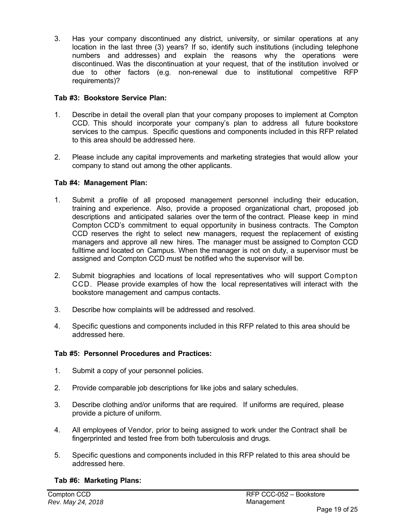3. Has your company discontinued any district, university, or similar operations at any location in the last three (3) years? If so, identify such institutions (including telephone numbers and addresses) and explain the reasons why the operations were discontinued. Was the discontinuation at your request, that of the institution involved or due to other factors (e.g. non-renewal due to institutional competitive RFP requirements)?

# **Tab #3: Bookstore Service Plan:**

- 1. Describe in detail the overall plan that your company proposes to implement at Compton CCD. This should incorporate your company's plan to address all future bookstore services to the campus. Specific questions and components included in this RFP related to this area should be addressed here.
- 2. Please include any capital improvements and marketing strategies that would allow your company to stand out among the other applicants.

## **Tab #4: Management Plan:**

- 1. Submit a profile of all proposed management personnel including their education, training and experience. Also, provide a proposed organizational chart, proposed job descriptions and anticipated salaries over the term of the contract. Please keep in mind Compton CCD's commitment to equal opportunity in business contracts. The Compton CCD reserves the right to select new managers, request the replacement of existing managers and approve all new hires. The manager must be assigned to Compton CCD fulltime and located on Campus. When the manager is not on duty, a supervisor must be assigned and Compton CCD must be notified who the supervisor will be.
- 2. Submit biographies and locations of local representatives who will support Compton CCD. Please provide examples of how the local representatives will interact with the bookstore management and campus contacts.
- 3. Describe how complaints will be addressed and resolved.
- 4. Specific questions and components included in this RFP related to this area should be addressed here.

#### **Tab #5: Personnel Procedures and Practices:**

- 1. Submit a copy of your personnel policies.
- 2. Provide comparable job descriptions for like jobs and salary schedules.
- 3. Describe clothing and/or uniforms that are required. If uniforms are required, please provide a picture of uniform.
- 4. All employees of Vendor, prior to being assigned to work under the Contract shall be fingerprinted and tested free from both tuberculosis and drugs.
- 5. Specific questions and components included in this RFP related to this area should be addressed here.

#### **Tab #6: Marketing Plans:**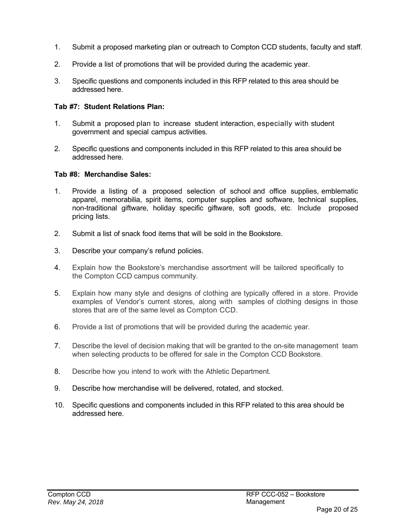- 1. Submit a proposed marketing plan or outreach to Compton CCD students, faculty and staff.
- 2. Provide a list of promotions that will be provided during the academic year.
- 3. Specific questions and components included in this RFP related to this area should be addressed here.

#### **Tab #7: Student Relations Plan:**

- 1. Submit a proposed plan to increase student interaction, especially with student government and special campus activities.
- 2. Specific questions and components included in this RFP related to this area should be addressed here.

#### **Tab #8: Merchandise Sales:**

- 1. Provide a listing of a proposed selection of school and office supplies, emblematic apparel, memorabilia, spirit items, computer supplies and software, technical supplies, non-traditional giftware, holiday specific giftware, soft goods, etc. Include proposed pricing lists.
- 2. Submit a list of snack food items that will be sold in the Bookstore.
- 3. Describe your company's refund policies.
- 4. Explain how the Bookstore's merchandise assortment will be tailored specifically to the Compton CCD campus community.
- 5. Explain how many style and designs of clothing are typically offered in a store. Provide examples of Vendor's current stores, along with samples of clothing designs in those stores that are of the same level as Compton CCD.
- 6. Provide a list of promotions that will be provided during the academic year.
- 7. Describe the level of decision making that will be granted to the on-site management team when selecting products to be offered for sale in the Compton CCD Bookstore.
- 8. Describe how you intend to work with the Athletic Department.
- 9. Describe how merchandise will be delivered, rotated, and stocked.
- 10. Specific questions and components included in this RFP related to this area should be addressed here.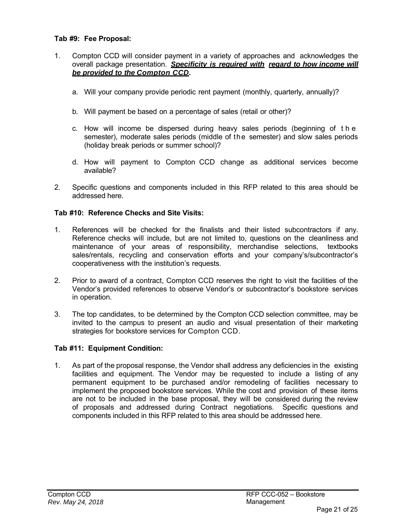## **Tab #9: Fee Proposal:**

- 1. Compton CCD will consider payment in a variety of approaches and acknowledges the overall package presentation. *Specificity is required with regard to how income will be provided to the Compton CCD.*
	- a. Will your company provide periodic rent payment (monthly, quarterly, annually)?
	- b. Will payment be based on a percentage of sales (retail or other)?
	- c. How will income be dispersed during heavy sales periods (beginning of the semester), moderate sales periods (middle of the semester) and slow sales periods (holiday break periods or summer school)?
	- d. How will payment to Compton CCD change as additional services become available?
- 2. Specific questions and components included in this RFP related to this area should be addressed here.

## **Tab #10: Reference Checks and Site Visits:**

- 1. References will be checked for the finalists and their listed subcontractors if any. Reference checks will include, but are not limited to, questions on the cleanliness and maintenance of your areas of responsibility, merchandise selections, textbooks sales/rentals, recycling and conservation efforts and your company's/subcontractor's cooperativeness with the institution's requests.
- 2. Prior to award of a contract, Compton CCD reserves the right to visit the facilities of the Vendor's provided references to observe Vendor's or subcontractor's bookstore services in operation.
- 3. The top candidates, to be determined by the Compton CCD selection committee, may be invited to the campus to present an audio and visual presentation of their marketing strategies for bookstore services for Compton CCD.

#### **Tab #11: Equipment Condition:**

1. As part of the proposal response, the Vendor shall address any deficiencies in the existing facilities and equipment. The Vendor may be requested to include a listing of any permanent equipment to be purchased and/or remodeling of facilities necessary to implement the proposed bookstore services. While the cost and provision of these items are not to be included in the base proposal, they will be considered during the review of proposals and addressed during Contract negotiations. Specific questions and components included in this RFP related to this area should be addressed here.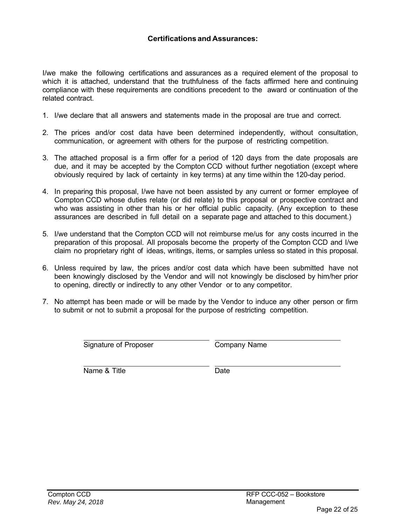## **Certifications and Assurances:**

I/we make the following certifications and assurances as a required element of the proposal to which it is attached, understand that the truthfulness of the facts affirmed here and continuing compliance with these requirements are conditions precedent to the award or continuation of the related contract.

- 1. I/we declare that all answers and statements made in the proposal are true and correct.
- 2. The prices and/or cost data have been determined independently, without consultation, communication, or agreement with others for the purpose of restricting competition.
- 3. The attached proposal is a firm offer for a period of 120 days from the date proposals are due, and it may be accepted by the Compton CCD without further negotiation (except where obviously required by lack of certainty in key terms) at any time within the 120-day period.
- 4. In preparing this proposal, I/we have not been assisted by any current or former employee of Compton CCD whose duties relate (or did relate) to this proposal or prospective contract and who was assisting in other than his or her official public capacity. (Any exception to these assurances are described in full detail on a separate page and attached to this document.)
- 5. I/we understand that the Compton CCD will not reimburse me/us for any costs incurred in the preparation of this proposal. All proposals become the property of the Compton CCD and I/we claim no proprietary right of ideas, writings, items, or samples unless so stated in this proposal.
- 6. Unless required by law, the prices and/or cost data which have been submitted have not been knowingly disclosed by the Vendor and will not knowingly be disclosed by him/her prior to opening, directly or indirectly to any other Vendor or to any competitor.
- 7. No attempt has been made or will be made by the Vendor to induce any other person or firm to submit or not to submit a proposal for the purpose of restricting competition.

Signature of Proposer Company Name

Name & Title Date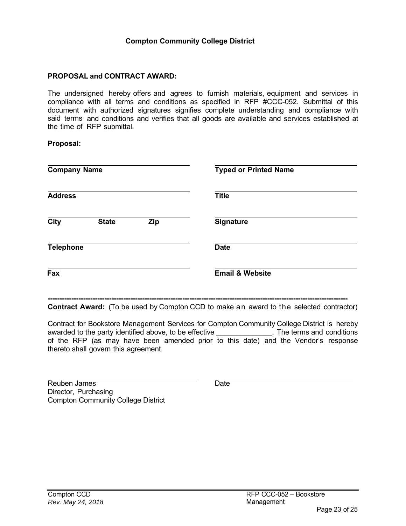## **Compton Community College District**

#### **PROPOSAL and CONTRACT AWARD:**

The undersigned hereby offers and agrees to furnish materials, equipment and services in compliance with all terms and conditions as specified in RFP #CCC-052. Submittal of this document with authorized signatures signifies complete understanding and compliance with said terms and conditions and verifies that all goods are available and services established at the time of RFP submittal.

#### **Proposal:**

| <b>Company Name</b>                |  | <b>Typed or Printed Name</b> |  |  |  |  |  |
|------------------------------------|--|------------------------------|--|--|--|--|--|
| <b>Address</b>                     |  | <b>Title</b>                 |  |  |  |  |  |
| <b>City</b><br><b>State</b><br>Zip |  | <b>Signature</b>             |  |  |  |  |  |
| <b>Telephone</b>                   |  | <b>Date</b>                  |  |  |  |  |  |
| Fax                                |  | <b>Email &amp; Website</b>   |  |  |  |  |  |

**------------------------------------------------------------------------------------------------------------------------------- Contract Award:** (To be used by Compton CCD to make an award to the selected contractor)

Contract for Bookstore Management Services for Compton Community College District is hereby awarded to the party identified above, to be effective **Example 20** The terms and conditions of the RFP (as may have been amended prior to this date) and the Vendor's response thereto shall govern this agreement.

| Reuben James                              | Date |
|-------------------------------------------|------|
| Director, Purchasing                      |      |
| <b>Compton Community College District</b> |      |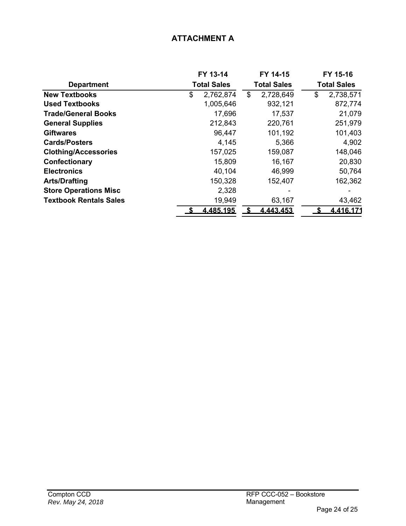# **ATTACHMENT A**

|                               | FY 13-14           | FY 14-15           | FY 15-16<br><b>Total Sales</b> |           |  |
|-------------------------------|--------------------|--------------------|--------------------------------|-----------|--|
| <b>Department</b>             | <b>Total Sales</b> | <b>Total Sales</b> |                                |           |  |
| <b>New Textbooks</b>          | \$<br>2,762,874    | \$<br>2,728,649    | \$                             | 2,738,571 |  |
| <b>Used Textbooks</b>         | 1,005,646          | 932,121            |                                | 872,774   |  |
| <b>Trade/General Books</b>    | 17,696             | 17,537             |                                | 21,079    |  |
| <b>General Supplies</b>       | 212,843            | 220,761            |                                | 251,979   |  |
| <b>Giftwares</b>              | 96,447             | 101,192            |                                | 101,403   |  |
| <b>Cards/Posters</b>          | 4,145              | 5,366              |                                | 4,902     |  |
| <b>Clothing/Accessories</b>   | 157,025            | 159,087            |                                | 148,046   |  |
| Confectionary                 | 15,809             | 16,167             |                                | 20,830    |  |
| <b>Electronics</b>            | 40,104             | 46,999             |                                | 50,764    |  |
| <b>Arts/Drafting</b>          | 150,328            | 152,407            |                                | 162,362   |  |
| <b>Store Operations Misc</b>  | 2,328              |                    |                                |           |  |
| <b>Textbook Rentals Sales</b> | 19,949             | 63,167             |                                | 43,462    |  |
|                               | 4.485.195          | 4.443.453          |                                | 4.416.171 |  |